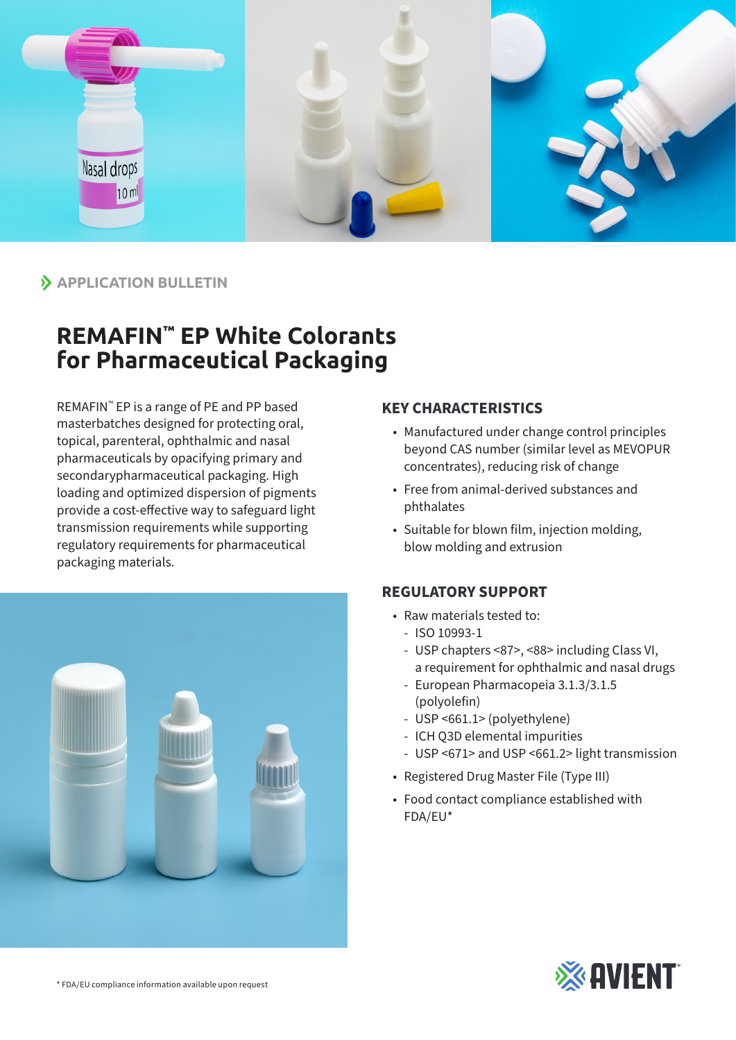

# $\lambda$  **APPLICATION BULLETIN**

# **REMAFIN™ EP White Colorants for Pharmaceutical Packaging**

REMAFIN™ EP is a range of PE and PP based masterbatches designed for protecting oral, topical, parenteral, ophthalmic and nasal pharmaceuticals by opacifying primary and secondarypharmaceutical packaging. High loading and optimized dispersion of pigments provide a cost-effective way to safeguard light transmission requirements while supporting regulatory requirements for pharmaceutical packaging materials.



### **KEY CHARACTERISTICS**

- Manufactured under change control principles beyond CAS number (similar level as MEVOPUR concentrates), reducing risk of change
- Free from animal-derived substances and phthalates
- Suitable for blown film, injection molding, blow molding and extrusion

## **REGULATORY SUPPORT**

- Raw materials tested to:
	- ISO 10993-1
	- USP chapters <87>, <88> including Class VI, a requirement for ophthalmic and nasal drugs
	- European Pharmacopeia 3.1.3/3.1.5 (polyolefin)
	- USP <661.1> (polyethylene)
	- ICH Q3D elemental impurities
	- USP <671> and USP <661.2> light transmission
- Registered Drug Master File (Type III)
- Food contact compliance established with FDA/EU\*